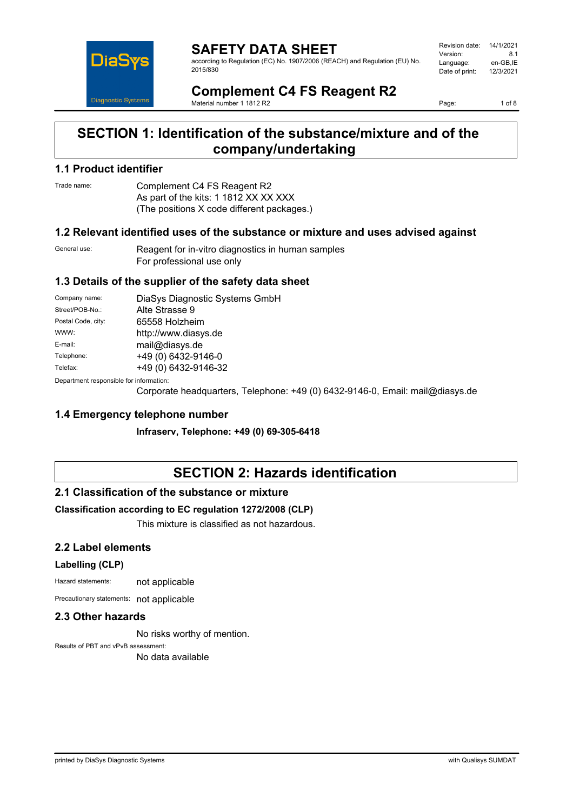

**SAFETY DATA SHEET** according to Regulation (EC) No. 1907/2006 (REACH) and Regulation (EU) No. 2015/830

| Revision date: | 14/1/2021 |
|----------------|-----------|
| Version:       | 81        |
| Language:      | en-GB.IE  |
| Date of print: | 12/3/2021 |
|                |           |

**Complement C4 FS Reagent R2** Material number 1 1812 R2

Page: 1 of 8

# **SECTION 1: Identification of the substance/mixture and of the company/undertaking**

## **1.1 Product identifier**

Trade name: Complement C4 FS Reagent R2 As part of the kits: 1 1812 XX XX XXX (The positions X code different packages.)

## **1.2 Relevant identified uses of the substance or mixture and uses advised against**

General use: Reagent for in-vitro diagnostics in human samples For professional use only

## **1.3 Details of the supplier of the safety data sheet**

| Company name:                            | DiaSys Diagnostic Systems GmbH |  |
|------------------------------------------|--------------------------------|--|
| Street/POB-No.:                          | Alte Strasse 9                 |  |
| Postal Code, city:                       | 65558 Holzheim                 |  |
| WWW:                                     | http://www.diasys.de           |  |
| E-mail:                                  | mail@diasys.de                 |  |
| Telephone:                               | +49 (0) 6432-9146-0            |  |
| Telefax:                                 | +49 (0) 6432-9146-32           |  |
| Denestraent seanenaikle fas information: |                                |  |

Department responsible for information:

Corporate headquarters, Telephone: +49 (0) 6432-9146-0, Email: mail@diasys.de

## **1.4 Emergency telephone number**

**Infraserv, Telephone: +49 (0) 69-305-6418**

# **SECTION 2: Hazards identification**

## **2.1 Classification of the substance or mixture**

## **Classification according to EC regulation 1272/2008 (CLP)**

This mixture is classified as not hazardous.

## **2.2 Label elements**

### **Labelling (CLP)**

Hazard statements: not applicable

Precautionary statements: not applicable

## **2.3 Other hazards**

No risks worthy of mention.

Results of PBT and vPvB assessment: No data available

printed by DiaSys Diagnostic Systems with Qualisys SUMDAT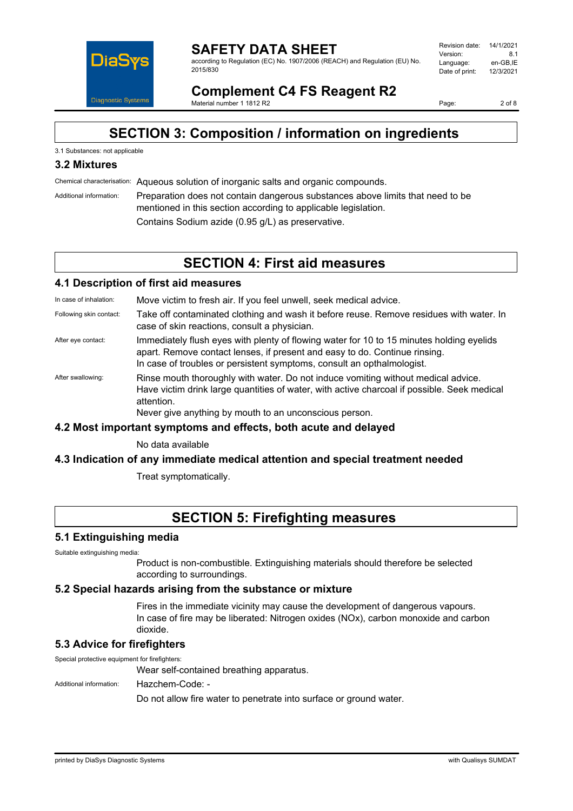

#### **SAFETY DATA SHEET** according to Regulation (EC) No. 1907/2006 (REACH) and Regulation (EU) No. 2015/830

| Revision date: | 14/1/2021 |
|----------------|-----------|
| Version:       | 81        |
| Language:      | en-GB.IE  |
| Date of print: | 12/3/2021 |
|                |           |

**Complement C4 FS Reagent R2** Material number 1 1812 R2

Page: 2 of 8

# **SECTION 3: Composition / information on ingredients**

## 3.1 Substances: not applicable

# **3.2 Mixtures**

Chemical characterisation: Aqueous solution of inorganic salts and organic compounds.

Additional information: Preparation does not contain dangerous substances above limits that need to be mentioned in this section according to applicable legislation. Contains Sodium azide (0.95 g/L) as preservative.

# **SECTION 4: First aid measures**

## **4.1 Description of first aid measures**

In case of inhalation: Move victim to fresh air. If you feel unwell, seek medical advice.

- Following skin contact: Take off contaminated clothing and wash it before reuse. Remove residues with water. In case of skin reactions, consult a physician.
- After eye contact: Immediately flush eyes with plenty of flowing water for 10 to 15 minutes holding eyelids apart. Remove contact lenses, if present and easy to do. Continue rinsing. In case of troubles or persistent symptoms, consult an opthalmologist.
- After swallowing: Rinse mouth thoroughly with water. Do not induce vomiting without medical advice. Have victim drink large quantities of water, with active charcoal if possible. Seek medical attention.

Never give anything by mouth to an unconscious person.

## **4.2 Most important symptoms and effects, both acute and delayed**

No data available

## **4.3 Indication of any immediate medical attention and special treatment needed**

Treat symptomatically.

# **SECTION 5: Firefighting measures**

### **5.1 Extinguishing media**

Suitable extinguishing media:

Product is non-combustible. Extinguishing materials should therefore be selected according to surroundings.

### **5.2 Special hazards arising from the substance or mixture**

Fires in the immediate vicinity may cause the development of dangerous vapours. In case of fire may be liberated: Nitrogen oxides (NOx), carbon monoxide and carbon dioxide.

# **5.3 Advice for firefighters**

Special protective equipment for firefighters:

Wear self-contained breathing apparatus.

Additional information: Hazchem-Code: -

Do not allow fire water to penetrate into surface or ground water.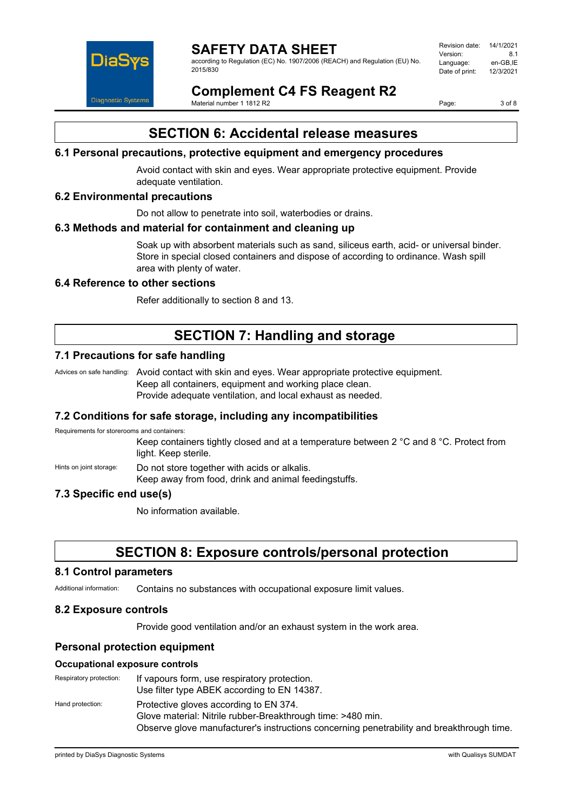

according to Regulation (EC) No. 1907/2006 (REACH) and Regulation (EU) No. 2015/830

| Revision date: | 14/1/2021 |
|----------------|-----------|
| Version:       | 81        |
| Language:      | en-GB.IE  |
| Date of print: | 12/3/2021 |
|                |           |

**Complement C4 FS Reagent R2** Material number 1 1812 R2

Page: 3 of 8

# **SECTION 6: Accidental release measures**

## **6.1 Personal precautions, protective equipment and emergency procedures**

Avoid contact with skin and eyes. Wear appropriate protective equipment. Provide adequate ventilation.

## **6.2 Environmental precautions**

Do not allow to penetrate into soil, waterbodies or drains.

### **6.3 Methods and material for containment and cleaning up**

Soak up with absorbent materials such as sand, siliceus earth, acid- or universal binder. Store in special closed containers and dispose of according to ordinance. Wash spill area with plenty of water.

## **6.4 Reference to other sections**

Refer additionally to section 8 and 13.

# **SECTION 7: Handling and storage**

# **7.1 Precautions for safe handling**

Advices on safe handling: Avoid contact with skin and eyes. Wear appropriate protective equipment. Keep all containers, equipment and working place clean. Provide adequate ventilation, and local exhaust as needed.

## **7.2 Conditions for safe storage, including any incompatibilities**

Requirements for storerooms and containers:

Keep containers tightly closed and at a temperature between 2 °C and 8 °C. Protect from light. Keep sterile.

Hints on joint storage: Do not store together with acids or alkalis.

Keep away from food, drink and animal feedingstuffs.

# **7.3 Specific end use(s)**

No information available.

# **SECTION 8: Exposure controls/personal protection**

### **8.1 Control parameters**

Additional information: Contains no substances with occupational exposure limit values.

## **8.2 Exposure controls**

Provide good ventilation and/or an exhaust system in the work area.

## **Personal protection equipment**

### **Occupational exposure controls**

| Respiratory protection: | If vapours form, use respiratory protection.<br>Use filter type ABEK according to EN 14387.           |
|-------------------------|-------------------------------------------------------------------------------------------------------|
| Hand protection:        | Protective gloves according to EN 374.<br>Glove material: Nitrile rubber-Breakthrough time: >480 min. |
|                         | Observe glove manufacturer's instructions concerning penetrability and breakthrough time.             |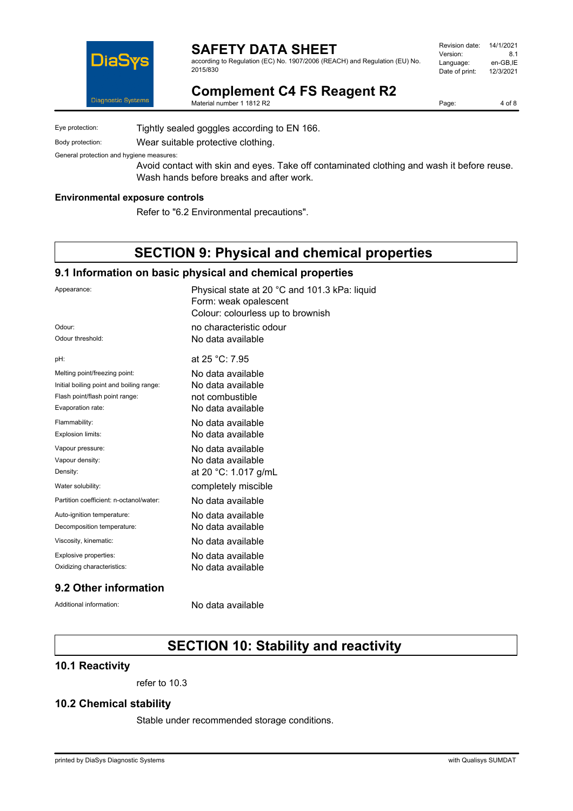

according to Regulation (EC) No. 1907/2006 (REACH) and Regulation (EU) No. 2015/830

| Revision date: | 14/1/2021 |
|----------------|-----------|
| Version:       | 81        |
| Language:      | en-GB.IE  |
| Date of print: | 12/3/2021 |
|                |           |

**Complement C4 FS Reagent R2**

Material number 1 1812 R2

Page: 4 of 8

Eye protection: Tightly sealed goggles according to EN 166.

Body protection: Wear suitable protective clothing.

General protection and hygiene measures:

Avoid contact with skin and eyes. Take off contaminated clothing and wash it before reuse. Wash hands before breaks and after work.

#### **Environmental exposure controls**

Refer to "6.2 Environmental precautions".

# **SECTION 9: Physical and chemical properties**

## **9.1 Information on basic physical and chemical properties**

| Appearance:                              | Physical state at 20 °C and 101.3 kPa: liquid<br>Form: weak opalescent<br>Colour: colourless up to brownish |
|------------------------------------------|-------------------------------------------------------------------------------------------------------------|
| Odour:                                   | no characteristic odour                                                                                     |
| Odour threshold:                         | No data available                                                                                           |
| pH:                                      | at 25 °C: 7.95                                                                                              |
| Melting point/freezing point:            | No data available                                                                                           |
| Initial boiling point and boiling range: | No data available                                                                                           |
| Flash point/flash point range:           | not combustible                                                                                             |
| Evaporation rate:                        | No data available                                                                                           |
| Flammability:                            | No data available                                                                                           |
| Explosion limits:                        | No data available                                                                                           |
| Vapour pressure:                         | No data available                                                                                           |
| Vapour density:                          | No data available                                                                                           |
| Density:                                 | at 20 °C: 1.017 g/mL                                                                                        |
| Water solubility:                        | completely miscible                                                                                         |
| Partition coefficient: n-octanol/water:  | No data available                                                                                           |
| Auto-ignition temperature:               | No data available                                                                                           |
| Decomposition temperature:               | No data available                                                                                           |
| Viscosity, kinematic:                    | No data available                                                                                           |
| Explosive properties:                    | No data available                                                                                           |
| Oxidizing characteristics:               | No data available                                                                                           |
|                                          |                                                                                                             |

## **9.2 Other information**

Additional information: No data available

# **SECTION 10: Stability and reactivity**

## **10.1 Reactivity**

refer to 10.3

# **10.2 Chemical stability**

Stable under recommended storage conditions.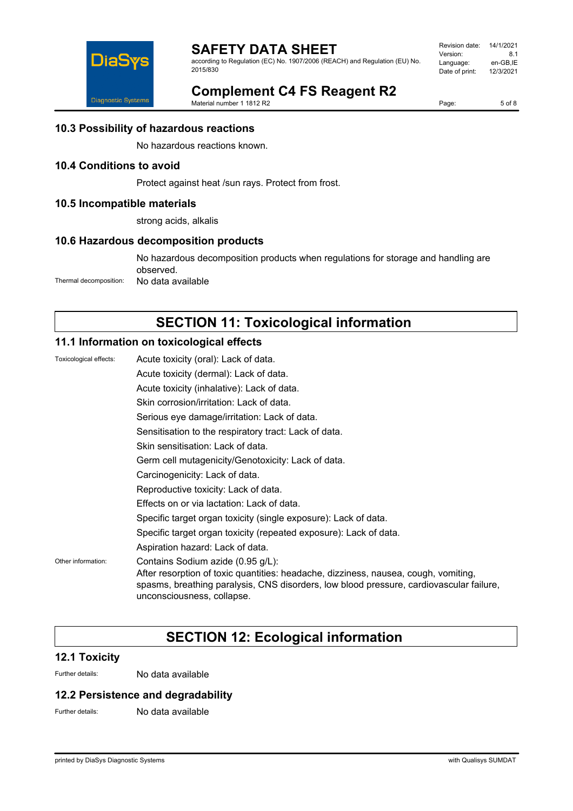

according to Regulation (EC) No. 1907/2006 (REACH) and Regulation (EU) No. 2015/830

| Revision date: | 14/1/2021 |
|----------------|-----------|
| Version:       | 81        |
| Language:      | en-GB.IE  |
| Date of print: | 12/3/2021 |
|                |           |

# **Complement C4 FS Reagent R2**

Material number 1 1812 R2

Page: 5 of 8

# **10.3 Possibility of hazardous reactions**

No hazardous reactions known.

# **10.4 Conditions to avoid**

Protect against heat /sun rays. Protect from frost.

## **10.5 Incompatible materials**

strong acids, alkalis

## **10.6 Hazardous decomposition products**

No hazardous decomposition products when regulations for storage and handling are observed. Thermal decomposition: No data available

# **SECTION 11: Toxicological information**

# **11.1 Information on toxicological effects**

| Toxicological effects: | Acute toxicity (oral): Lack of data.                                                                                                                                                                                                              |  |
|------------------------|---------------------------------------------------------------------------------------------------------------------------------------------------------------------------------------------------------------------------------------------------|--|
|                        | Acute toxicity (dermal): Lack of data.                                                                                                                                                                                                            |  |
|                        | Acute toxicity (inhalative): Lack of data.                                                                                                                                                                                                        |  |
|                        | Skin corrosion/irritation: Lack of data.                                                                                                                                                                                                          |  |
|                        | Serious eye damage/irritation: Lack of data.                                                                                                                                                                                                      |  |
|                        | Sensitisation to the respiratory tract: Lack of data.                                                                                                                                                                                             |  |
|                        | Skin sensitisation: Lack of data.                                                                                                                                                                                                                 |  |
|                        | Germ cell mutagenicity/Genotoxicity: Lack of data.                                                                                                                                                                                                |  |
|                        | Carcinogenicity: Lack of data.                                                                                                                                                                                                                    |  |
|                        | Reproductive toxicity: Lack of data.                                                                                                                                                                                                              |  |
|                        | Effects on or via lactation: Lack of data.                                                                                                                                                                                                        |  |
|                        | Specific target organ toxicity (single exposure): Lack of data.                                                                                                                                                                                   |  |
|                        | Specific target organ toxicity (repeated exposure): Lack of data.                                                                                                                                                                                 |  |
|                        | Aspiration hazard: Lack of data.                                                                                                                                                                                                                  |  |
| Other information:     | Contains Sodium azide (0.95 g/L):<br>After resorption of toxic quantities: headache, dizziness, nausea, cough, vomiting,<br>spasms, breathing paralysis, CNS disorders, low blood pressure, cardiovascular failure,<br>unconsciousness, collapse. |  |

# **SECTION 12: Ecological information**

## **12.1 Toxicity**

Further details: No data available

## **12.2 Persistence and degradability**

Further details: No data available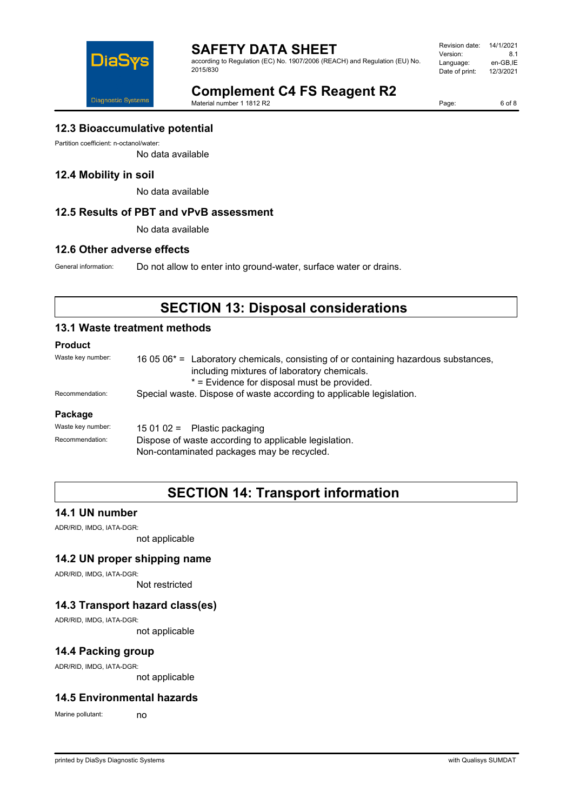

according to Regulation (EC) No. 1907/2006 (REACH) and Regulation (EU) No. 2015/830

Revision date: 14/1/2021 Version: 8.1<br>Language: en-GB,IE Language: en-GB,IE<br>Date of print: 12/3/2021 Date of print:



**Complement C4 FS Reagent R2** Material number 1 1812 R2

Page: 6 of 8

# **12.3 Bioaccumulative potential**

Partition coefficient: n-octanol/water:

No data available

## **12.4 Mobility in soil**

No data available

## **12.5 Results of PBT and vPvB assessment**

No data available

## **12.6 Other adverse effects**

General information: Do not allow to enter into ground-water, surface water or drains.

# **SECTION 13: Disposal considerations**

## **13.1 Waste treatment methods**

## **Product**

| .                 |                                                                                                                                                                                               |  |
|-------------------|-----------------------------------------------------------------------------------------------------------------------------------------------------------------------------------------------|--|
| Waste key number: | 16 05 06 <sup>*</sup> = Laboratory chemicals, consisting of or containing hazardous substances,<br>including mixtures of laboratory chemicals.<br>* = Evidence for disposal must be provided. |  |
| Recommendation:   | Special waste. Dispose of waste according to applicable legislation.                                                                                                                          |  |
| Package           |                                                                                                                                                                                               |  |
| Waste key number: | 15 01 02 = Plastic packaging                                                                                                                                                                  |  |
| Recommendation:   | Dispose of waste according to applicable legislation.                                                                                                                                         |  |

Non-contaminated packages may be recycled.

# **SECTION 14: Transport information**

## **14.1 UN number**

ADR/RID, IMDG, IATA-DGR:

not applicable

## **14.2 UN proper shipping name**

ADR/RID, IMDG, IATA-DGR:

Not restricted

# **14.3 Transport hazard class(es)**

ADR/RID, IMDG, IATA-DGR:

not applicable

# **14.4 Packing group**

ADR/RID, IMDG, IATA-DGR:

not applicable

## **14.5 Environmental hazards**

Marine pollutant: no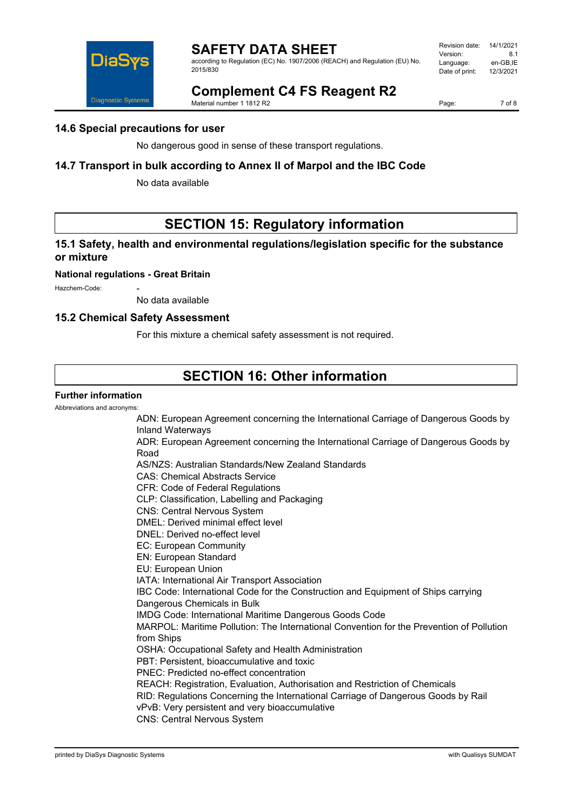

according to Regulation (EC) No. 1907/2006 (REACH) and Regulation (EU) No. 2015/830

| Revision date: | 14/1/2021 |
|----------------|-----------|
| Version:       | 81        |
| Language:      | en-GB.IE  |
| Date of print: | 12/3/2021 |
|                |           |

# **Complement C4 FS Reagent R2**

Material number 1 1812 R2

Page: 7 of 8

# **14.6 Special precautions for user**

No dangerous good in sense of these transport regulations.

# **14.7 Transport in bulk according to Annex II of Marpol and the IBC Code**

No data available

# **SECTION 15: Regulatory information**

# **15.1 Safety, health and environmental regulations/legislation specific for the substance or mixture**

### **National regulations - Great Britain**

Hazchem-Code:

No data available

## **15.2 Chemical Safety Assessment**

For this mixture a chemical safety assessment is not required.

# **SECTION 16: Other information**

## **Further information**

Abbreviations and acronyms:

ADN: European Agreement concerning the International Carriage of Dangerous Goods by Inland Waterways ADR: European Agreement concerning the International Carriage of Dangerous Goods by Road AS/NZS: Australian Standards/New Zealand Standards CAS: Chemical Abstracts Service CFR: Code of Federal Regulations CLP: Classification, Labelling and Packaging CNS: Central Nervous System DMEL: Derived minimal effect level DNEL: Derived no-effect level EC: European Community EN: European Standard EU: European Union IATA: International Air Transport Association IBC Code: International Code for the Construction and Equipment of Ships carrying Dangerous Chemicals in Bulk IMDG Code: International Maritime Dangerous Goods Code MARPOL: Maritime Pollution: The International Convention for the Prevention of Pollution from Ships OSHA: Occupational Safety and Health Administration PBT: Persistent, bioaccumulative and toxic PNEC: Predicted no-effect concentration REACH: Registration, Evaluation, Authorisation and Restriction of Chemicals RID: Regulations Concerning the International Carriage of Dangerous Goods by Rail vPvB: Very persistent and very bioaccumulative CNS: Central Nervous System